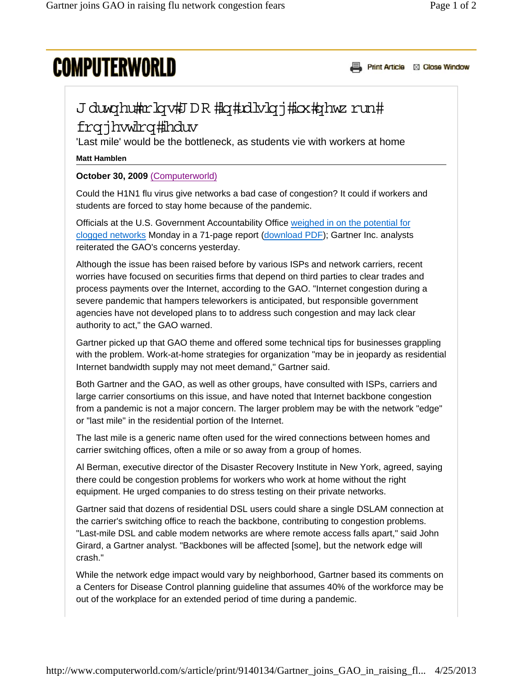# **COMPUTERWORLD**

Print Article & Close Window

## J duwghutter lowth DR #lot#xilori#iox#ghwz run#

## frqjhwdrq#hduv

'Last mile' would be the bottleneck, as students vie with workers at home

#### **Matt Hamblen**

### **October 30, 2009** (Computerworld)

Could the H1N1 flu virus give networks a bad case of congestion? It could if workers and students are forced to stay home because of the pandemic.

Officials at the U.S. Government Accountability Office weighed in on the potential for clogged networks Monday in a 71-page report (download PDF); Gartner Inc. analysts reiterated the GAO's concerns yesterday.

Although the issue has been raised before by various ISPs and network carriers, recent worries have focused on securities firms that depend on third parties to clear trades and process payments over the Internet, according to the GAO. "Internet congestion during a severe pandemic that hampers teleworkers is anticipated, but responsible government agencies have not developed plans to to address such congestion and may lack clear authority to act," the GAO warned.

Gartner picked up that GAO theme and offered some technical tips for businesses grappling with the problem. Work-at-home strategies for organization "may be in jeopardy as residential Internet bandwidth supply may not meet demand," Gartner said.

Both Gartner and the GAO, as well as other groups, have consulted with ISPs, carriers and large carrier consortiums on this issue, and have noted that Internet backbone congestion from a pandemic is not a major concern. The larger problem may be with the network "edge" or "last mile" in the residential portion of the Internet.

The last mile is a generic name often used for the wired connections between homes and carrier switching offices, often a mile or so away from a group of homes.

Al Berman, executive director of the Disaster Recovery Institute in New York, agreed, saying there could be congestion problems for workers who work at home without the right equipment. He urged companies to do stress testing on their private networks.

Gartner said that dozens of residential DSL users could share a single DSLAM connection at the carrier's switching office to reach the backbone, contributing to congestion problems. "Last-mile DSL and cable modem networks are where remote access falls apart," said John Girard, a Gartner analyst. "Backbones will be affected [some], but the network edge will crash."

While the network edge impact would vary by neighborhood, Gartner based its comments on a Centers for Disease Control planning guideline that assumes 40% of the workforce may be out of the workplace for an extended period of time during a pandemic.